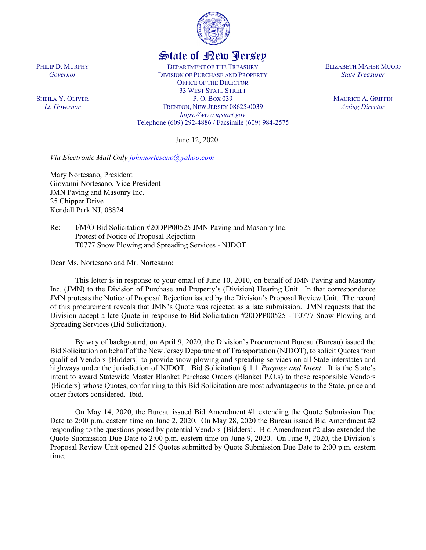

## State of New Jersey

DEPARTMENT OF THE TREASURY DIVISION OF PURCHASE AND PROPERTY OFFICE OF THE DIRECTOR 33 WEST STATE STREET P. O. BOX 039 TRENTON, NEW JERSEY 08625-0039 *https://www.njstart.gov* Telephone (609) 292-4886 / Facsimile (609) 984-2575

June 12, 2020

*Via Electronic Mail Only [johnnortesano@yahoo.com](mailto:johnnortesano@yahoo.com)* 

Mary Nortesano, President Giovanni Nortesano, Vice President JMN Paving and Masonry Inc. 25 Chipper Drive Kendall Park NJ, 08824

Re: I/M/O Bid Solicitation #20DPP00525 JMN Paving and Masonry Inc. Protest of Notice of Proposal Rejection T0777 Snow Plowing and Spreading Services - NJDOT

Dear Ms. Nortesano and Mr. Nortesano:

This letter is in response to your email of June 10, 2010, on behalf of JMN Paving and Masonry Inc. (JMN) to the Division of Purchase and Property's (Division) Hearing Unit. In that correspondence JMN protests the Notice of Proposal Rejection issued by the Division's Proposal Review Unit. The record of this procurement reveals that JMN's Quote was rejected as a late submission. JMN requests that the Division accept a late Quote in response to Bid Solicitation #20DPP00525 - T0777 Snow Plowing and Spreading Services (Bid Solicitation).

By way of background, on April 9, 2020, the Division's Procurement Bureau (Bureau) issued the Bid Solicitation on behalf of the New Jersey Department of Transportation (NJDOT), to solicit Quotesfrom qualified Vendors {Bidders} to provide snow plowing and spreading services on all State interstates and highways under the jurisdiction of NJDOT. Bid Solicitation § 1.1 *Purpose and Intent*. It is the State's intent to award Statewide Master Blanket Purchase Orders (Blanket P.O.s) to those responsible Vendors {Bidders} whose Quotes, conforming to this Bid Solicitation are most advantageous to the State, price and other factors considered. Ibid.

On May 14, 2020, the Bureau issued Bid Amendment #1 extending the Quote Submission Due Date to 2:00 p.m. eastern time on June 2, 2020. On May 28, 2020 the Bureau issued Bid Amendment #2 responding to the questions posed by potential Vendors {Bidders}. Bid Amendment #2 also extended the Quote Submission Due Date to 2:00 p.m. eastern time on June 9, 2020. On June 9, 2020, the Division's Proposal Review Unit opened 215 Quotes submitted by Quote Submission Due Date to 2:00 p.m. eastern time.

PHILIP D. MURPHY *Governor*

SHEILA Y. OLIVER *Lt. Governor*

ELIZABETH MAHER MUOIO *State Treasurer*

> MAURICE A. GRIFFIN *Acting Director*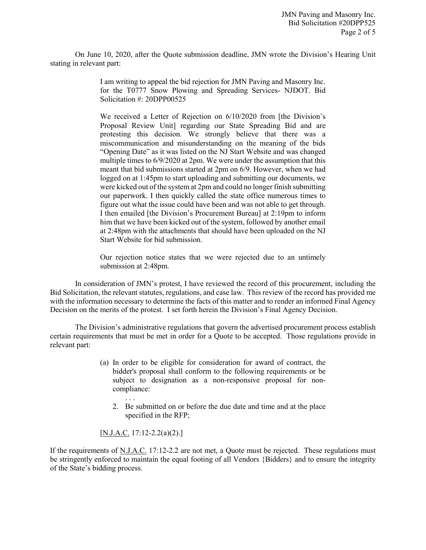On June 10, 2020, after the Quote submission deadline, JMN wrote the Division's Hearing Unit stating in relevant part:

> I am writing to appeal the bid rejection for JMN Paving and Masonry Inc. for the T0777 Snow Plowing and Spreading Services- NJDOT. Bid Solicitation #: 20DPP00525

> We received a Letter of Rejection on 6/10/2020 from [the Division's Proposal Review Unit] regarding our State Spreading Bid and are protesting this decision. We strongly believe that there was a miscommunication and misunderstanding on the meaning of the bids "Opening Date" as it was listed on the NJ Start Website and was changed multiple times to 6/9/2020 at 2pm. We were under the assumption that this meant that bid submissions started at 2pm on 6/9. However, when we had logged on at 1:45pm to start uploading and submitting our documents, we were kicked out of the system at 2pm and could no longer finish submitting our paperwork. I then quickly called the state office numerous times to figure out what the issue could have been and was not able to get through. I then emailed [the Division's Procurement Bureau] at 2:19pm to inform him that we have been kicked out of the system, followed by another email at 2:48pm with the attachments that should have been uploaded on the NJ Start Website for bid submission.

> Our rejection notice states that we were rejected due to an untimely submission at 2:48pm.

In consideration of JMN's protest, I have reviewed the record of this procurement, including the Bid Solicitation, the relevant statutes, regulations, and case law. This review of the record has provided me with the information necessary to determine the facts of this matter and to render an informed Final Agency Decision on the merits of the protest. I set forth herein the Division's Final Agency Decision.

The Division's administrative regulations that govern the advertised procurement process establish certain requirements that must be met in order for a Quote to be accepted. Those regulations provide in relevant part:

- (a) In order to be eligible for consideration for award of contract, the bidder's proposal shall conform to the following requirements or be subject to designation as a non-responsive proposal for noncompliance:
	- 2. Be submitted on or before the due date and time and at the place specified in the RFP;

 $[N.J.A.C. 17:12-2.2(a)(2).]$ 

. . .

If the requirements of N.J.A.C. 17:12-2.2 are not met, a Quote must be rejected. These regulations must be stringently enforced to maintain the equal footing of all Vendors {Bidders} and to ensure the integrity of the State's bidding process.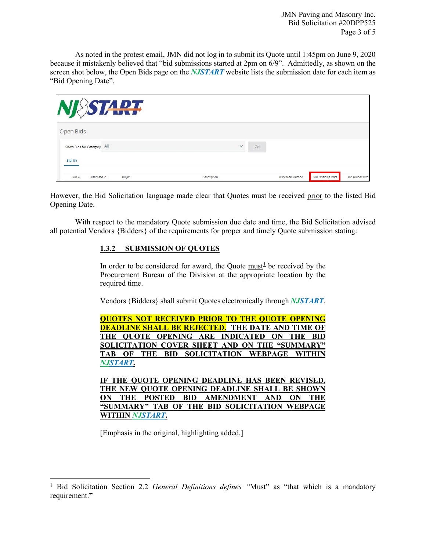JMN Paving and Masonry Inc. Bid Solicitation #20DPP525 Page 3 of 5

As noted in the protest email, JMN did not log in to submit its Quote until 1:45pm on June 9, 2020 because it mistakenly believed that "bid submissions started at 2pm on 6/9". Admittedly, as shown on the screen shot below, the Open Bids page on the *NJSTART* website lists the submission date for each item as "Bid Opening Date".

| <b>SSTART</b>                     |              |    |                 |                         |                        |
|-----------------------------------|--------------|----|-----------------|-------------------------|------------------------|
| Open Bids                         |              |    |                 |                         |                        |
| Show Bids for Category All        | $\checkmark$ | Go |                 |                         |                        |
| <b>BId(18)</b>                    |              |    |                 |                         |                        |
| $B$ Id #<br>Alternate Id<br>Buyer | Description  |    | Purchase Method | <b>Bid Opening Date</b> | <b>Bid Holder List</b> |

However, the Bid Solicitation language made clear that Quotes must be received prior to the listed Bid Opening Date.

With respect to the mandatory Quote submission due date and time, the Bid Solicitation advised all potential Vendors {Bidders} of the requirements for proper and timely Quote submission stating:

## **1.3.2 SUBMISSION OF QUOTES**

In order to be considered for award, the Quote must<sup>[1](#page-2-0)</sup> be received by the Procurement Bureau of the Division at the appropriate location by the required time.

Vendors {Bidders} shall submit Quotes electronically through *NJSTART*.

**QUOTES NOT RECEIVED PRIOR TO THE QUOTE OPENING DEADLINE SHALL BE REJECTED. THE DATE AND TIME OF THE QUOTE OPENING ARE INDICATED ON THE BID SOLICITATION COVER SHEET AND ON THE "SUMMARY" TAB OF THE BID SOLICITATION WEBPAGE WITHIN**  *NJSTART***.** 

**IF THE QUOTE OPENING DEADLINE HAS BEEN REVISED, THE NEW QUOTE OPENING DEADLINE SHALL BE SHOWN ON THE POSTED BID AMENDMENT AND ON THE "SUMMARY" TAB OF THE BID SOLICITATION WEBPAGE WITHIN** *NJSTART***.** 

[Emphasis in the original, highlighting added.]

l

<span id="page-2-0"></span><sup>&</sup>lt;sup>1</sup> Bid Solicitation Section 2.2 *General Definitions defines* "Must" as "that which is a mandatory requirement.**"**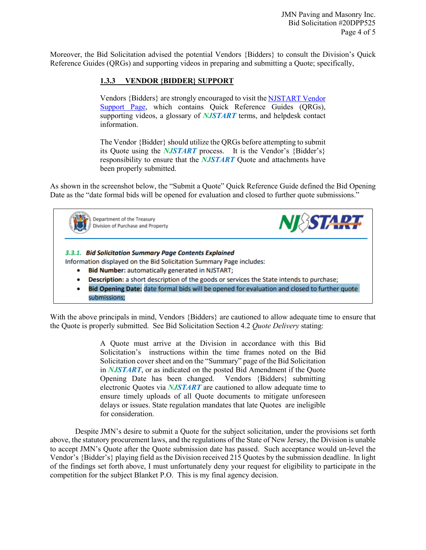JMN Paving and Masonry Inc. Bid Solicitation #20DPP525 Page 4 of 5

Moreover, the Bid Solicitation advised the potential Vendors {Bidders} to consult the Division's Quick Reference Guides (QRGs) and supporting videos in preparing and submitting a Quote; specifically,

## **1.3.3 VENDOR {BIDDER} SUPPORT**

Vendors {Bidders} are strongly encouraged to visit th[e NJSTART Vendor](https://www.state.nj.us/treasury/purchase/vendor.shtml)  [Support Page,](https://www.state.nj.us/treasury/purchase/vendor.shtml) which contains Quick Reference Guides (QRGs), supporting videos, a glossary of *NJSTART* terms, and helpdesk contact information.

The Vendor {Bidder} should utilize the QRGs before attempting to submit its Quote using the *NJSTART* process. It is the Vendor's {Bidder's} responsibility to ensure that the *NJSTART* Quote and attachments have been properly submitted.

As shown in the screenshot below, the "Submit a Quote" Quick Reference Guide defined the Bid Opening Date as the "date formal bids will be opened for evaluation and closed to further quote submissions."



With the above principals in mind, Vendors {Bidders} are cautioned to allow adequate time to ensure that the Quote is properly submitted. See Bid Solicitation Section 4.2 *Quote Delivery* stating:

> A Quote must arrive at the Division in accordance with this Bid Solicitation's instructions within the time frames noted on the Bid Solicitation cover sheet and on the "Summary" page of the Bid Solicitation in *NJSTART*, or as indicated on the posted Bid Amendment if the Quote Opening Date has been changed. Vendors {Bidders} submitting electronic Quotes via *NJSTART* are cautioned to allow adequate time to ensure timely uploads of all Quote documents to mitigate unforeseen delays or issues. State regulation mandates that late Quotes are ineligible for consideration.

Despite JMN's desire to submit a Quote for the subject solicitation, under the provisions set forth above, the statutory procurement laws, and the regulations of the State of New Jersey, the Division is unable to accept JMN's Quote after the Quote submission date has passed. Such acceptance would un-level the Vendor's {Bidder's} playing field as the Division received 215 Quotes by the submission deadline. In light of the findings set forth above, I must unfortunately deny your request for eligibility to participate in the competition for the subject Blanket P.O. This is my final agency decision.